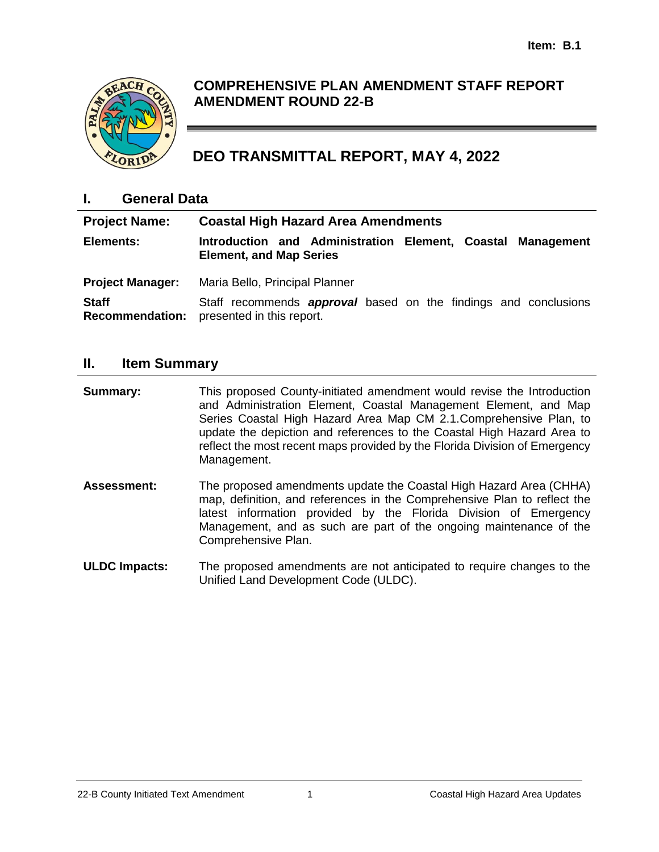

# **COMPREHENSIVE PLAN AMENDMENT STAFF REPORT AMENDMENT ROUND 22-B**

# **DEO TRANSMITTAL REPORT, MAY 4, 2022**

### **I. General Data**

| <b>Project Name:</b>    | <b>Coastal High Hazard Area Amendments</b>                                                                                 |
|-------------------------|----------------------------------------------------------------------------------------------------------------------------|
| Elements:               | Introduction and Administration Element, Coastal Management<br><b>Element, and Map Series</b>                              |
| <b>Project Manager:</b> | Maria Bello, Principal Planner                                                                                             |
| <b>Staff</b>            | Staff recommends <b>approval</b> based on the findings and conclusions<br><b>Recommendation:</b> presented in this report. |

#### **II. Item Summary**

**Summary:** This proposed County-initiated amendment would revise the Introduction and Administration Element, Coastal Management Element, and Map Series Coastal High Hazard Area Map CM 2.1.Comprehensive Plan, to update the depiction and references to the Coastal High Hazard Area to reflect the most recent maps provided by the Florida Division of Emergency Management.

- **Assessment:** The proposed amendments update the Coastal High Hazard Area (CHHA) map, definition, and references in the Comprehensive Plan to reflect the latest information provided by the Florida Division of Emergency Management, and as such are part of the ongoing maintenance of the Comprehensive Plan.
- **ULDC Impacts:** The proposed amendments are not anticipated to require changes to the Unified Land Development Code (ULDC).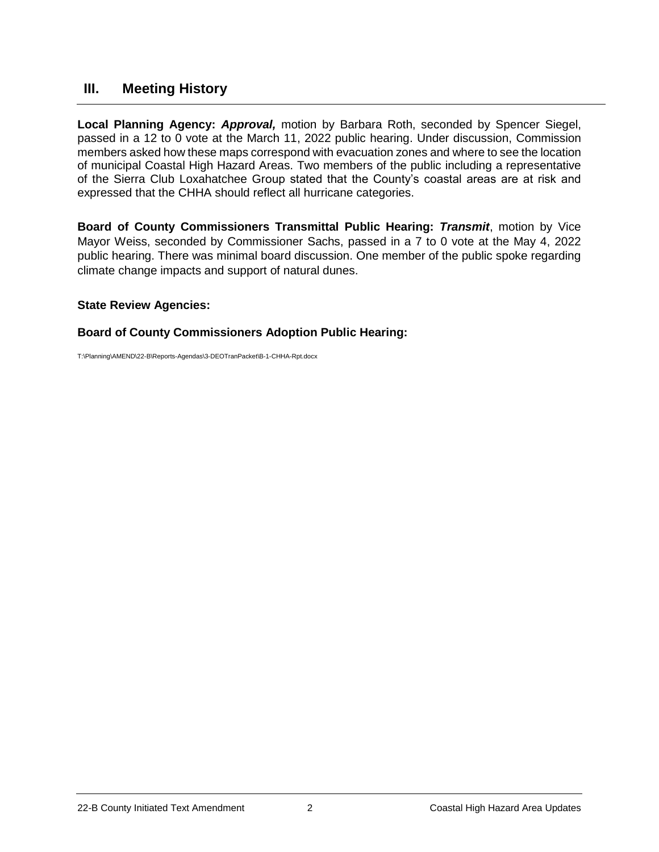### **III. Meeting History**

**Local Planning Agency:** *Approval,* motion by Barbara Roth, seconded by Spencer Siegel, passed in a 12 to 0 vote at the March 11, 2022 public hearing. Under discussion, Commission members asked how these maps correspond with evacuation zones and where to see the location of municipal Coastal High Hazard Areas. Two members of the public including a representative of the Sierra Club Loxahatchee Group stated that the County's coastal areas are at risk and expressed that the CHHA should reflect all hurricane categories.

**Board of County Commissioners Transmittal Public Hearing:** *Transmit*, motion by Vice Mayor Weiss, seconded by Commissioner Sachs, passed in a 7 to 0 vote at the May 4, 2022 public hearing. There was minimal board discussion. One member of the public spoke regarding climate change impacts and support of natural dunes.

#### **State Review Agencies:**

#### **Board of County Commissioners Adoption Public Hearing:**

T:\Planning\AMEND\22-B\Reports-Agendas\3-DEOTranPacket\B-1-CHHA-Rpt.docx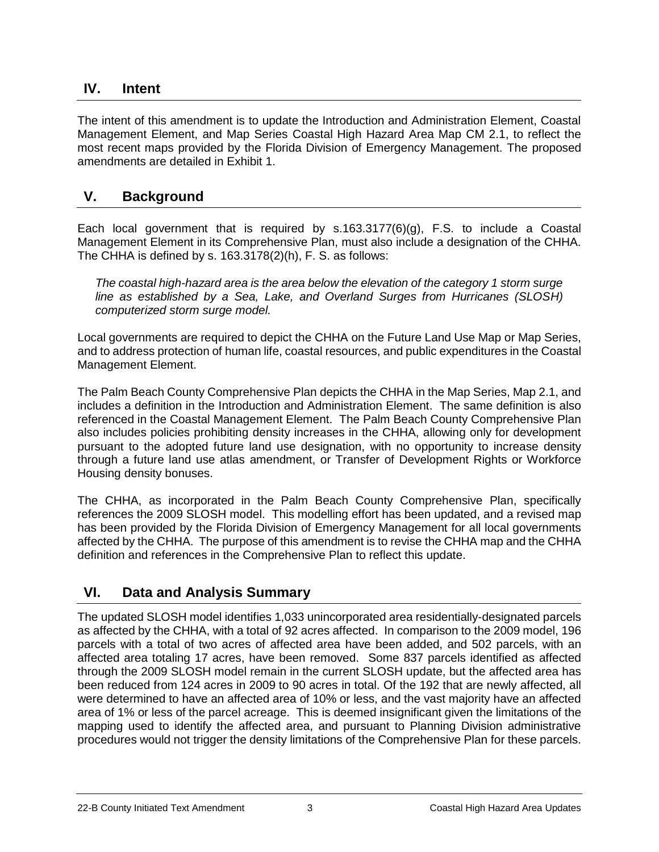### **IV. Intent**

The intent of this amendment is to update the Introduction and Administration Element, Coastal Management Element, and Map Series Coastal High Hazard Area Map CM 2.1, to reflect the most recent maps provided by the Florida Division of Emergency Management. The proposed amendments are detailed in Exhibit 1.

### **V. Background**

Each local government that is required by s[.163.3177\(](http://www.leg.state.fl.us/statutes/index.cfm?App_mode=Display_Statute&Search_String=&URL=0100-0199/0163/Sections/0163.3177.html)6)(g), F.S. to include a Coastal Management Element in its Comprehensive Plan, must also include a designation of the CHHA. The CHHA is defined by s. 163.3178(2)(h), F. S. as follows:

*The coastal high-hazard area is the area below the elevation of the category 1 storm surge line as established by a Sea, Lake, and Overland Surges from Hurricanes (SLOSH) computerized storm surge model.* 

Local governments are required to depict the CHHA on the Future Land Use Map or Map Series, and to address protection of human life, coastal resources, and public expenditures in the Coastal Management Element.

The Palm Beach County Comprehensive Plan depicts the CHHA in the Map Series, Map 2.1, and includes a definition in the Introduction and Administration Element. The same definition is also referenced in the Coastal Management Element. The Palm Beach County Comprehensive Plan also includes policies prohibiting density increases in the CHHA, allowing only for development pursuant to the adopted future land use designation, with no opportunity to increase density through a future land use atlas amendment, or Transfer of Development Rights or Workforce Housing density bonuses.

The CHHA, as incorporated in the Palm Beach County Comprehensive Plan, specifically references the 2009 SLOSH model. This modelling effort has been updated, and a revised map has been provided by the Florida Division of Emergency Management for all local governments affected by the CHHA. The purpose of this amendment is to revise the CHHA map and the CHHA definition and references in the Comprehensive Plan to reflect this update.

### **VI. Data and Analysis Summary**

The updated SLOSH model identifies 1,033 unincorporated area residentially-designated parcels as affected by the CHHA, with a total of 92 acres affected. In comparison to the 2009 model, 196 parcels with a total of two acres of affected area have been added, and 502 parcels, with an affected area totaling 17 acres, have been removed. Some 837 parcels identified as affected through the 2009 SLOSH model remain in the current SLOSH update, but the affected area has been reduced from 124 acres in 2009 to 90 acres in total. Of the 192 that are newly affected, all were determined to have an affected area of 10% or less, and the vast majority have an affected area of 1% or less of the parcel acreage. This is deemed insignificant given the limitations of the mapping used to identify the affected area, and pursuant to Planning Division administrative procedures would not trigger the density limitations of the Comprehensive Plan for these parcels.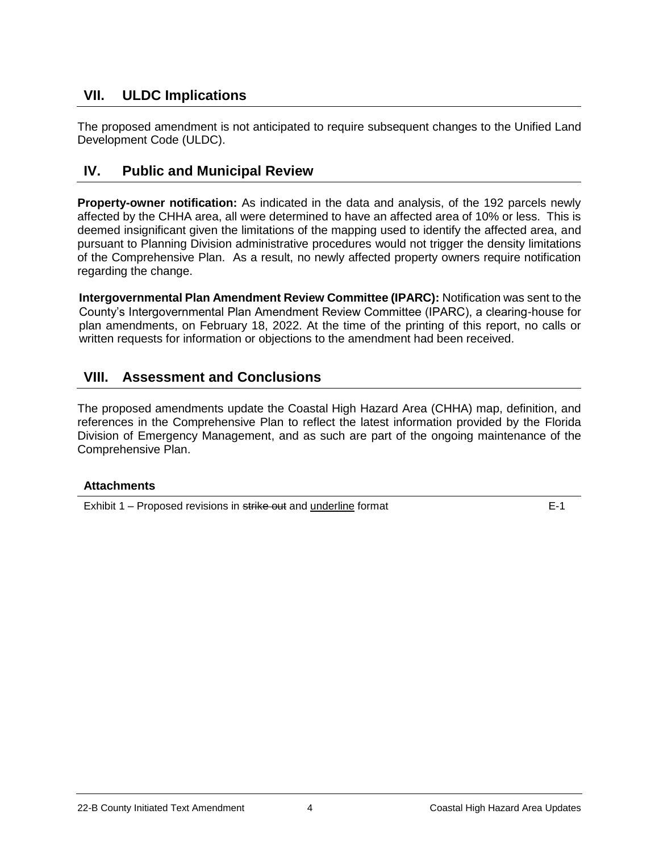## **VII. ULDC Implications**

The proposed amendment is not anticipated to require subsequent changes to the Unified Land Development Code (ULDC).

### **IV. Public and Municipal Review**

**Property-owner notification:** As indicated in the data and analysis, of the 192 parcels newly affected by the CHHA area, all were determined to have an affected area of 10% or less. This is deemed insignificant given the limitations of the mapping used to identify the affected area, and pursuant to Planning Division administrative procedures would not trigger the density limitations of the Comprehensive Plan. As a result, no newly affected property owners require notification regarding the change.

**Intergovernmental Plan Amendment Review Committee (IPARC):** Notification was sent to the County's Intergovernmental Plan Amendment Review Committee (IPARC), a clearing-house for plan amendments, on February 18, 2022. At the time of the printing of this report, no calls or written requests for information or objections to the amendment had been received.

### **VIII. Assessment and Conclusions**

The proposed amendments update the Coastal High Hazard Area (CHHA) map, definition, and references in the Comprehensive Plan to reflect the latest information provided by the Florida Division of Emergency Management, and as such are part of the ongoing maintenance of the Comprehensive Plan.

#### **Attachments**

Exhibit 1 – Proposed revisions in strike out and underline format E-1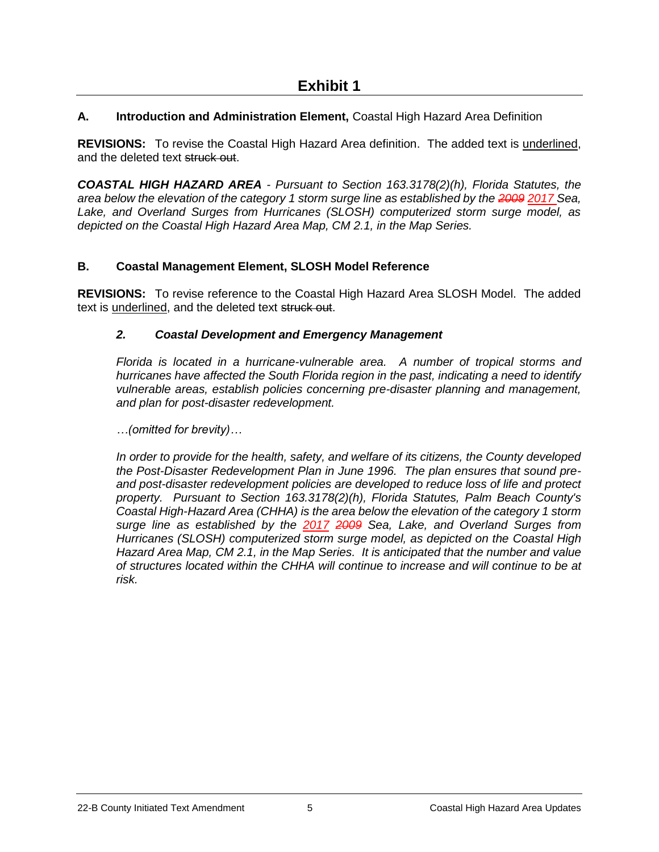#### **A. Introduction and Administration Element,** Coastal High Hazard Area Definition

**REVISIONS:** To revise the Coastal High Hazard Area definition. The added text is underlined, and the deleted text struck out.

*COASTAL HIGH HAZARD AREA - Pursuant to Section 163.3178(2)(h), Florida Statutes, the area below the elevation of the category 1 storm surge line as established by the 2009 2017 Sea, Lake, and Overland Surges from Hurricanes (SLOSH) computerized storm surge model, as depicted on the Coastal High Hazard Area Map, CM 2.1, in the Map Series.* 

#### **B. Coastal Management Element, SLOSH Model Reference**

**REVISIONS:** To revise reference to the Coastal High Hazard Area SLOSH Model. The added text is underlined, and the deleted text struck out.

#### *2. Coastal Development and Emergency Management*

*Florida is located in a hurricane-vulnerable area. A number of tropical storms and hurricanes have affected the South Florida region in the past, indicating a need to identify vulnerable areas, establish policies concerning pre-disaster planning and management, and plan for post-disaster redevelopment.* 

*…(omitted for brevity)…*

*In order to provide for the health, safety, and welfare of its citizens, the County developed the Post-Disaster Redevelopment Plan in June 1996. The plan ensures that sound preand post-disaster redevelopment policies are developed to reduce loss of life and protect property. Pursuant to Section 163.3178(2)(h), Florida Statutes, Palm Beach County's Coastal High-Hazard Area (CHHA) is the area below the elevation of the category 1 storm surge line as established by the 2017 2009 Sea, Lake, and Overland Surges from Hurricanes (SLOSH) computerized storm surge model, as depicted on the Coastal High Hazard Area Map, CM 2.1, in the Map Series. It is anticipated that the number and value of structures located within the CHHA will continue to increase and will continue to be at risk.*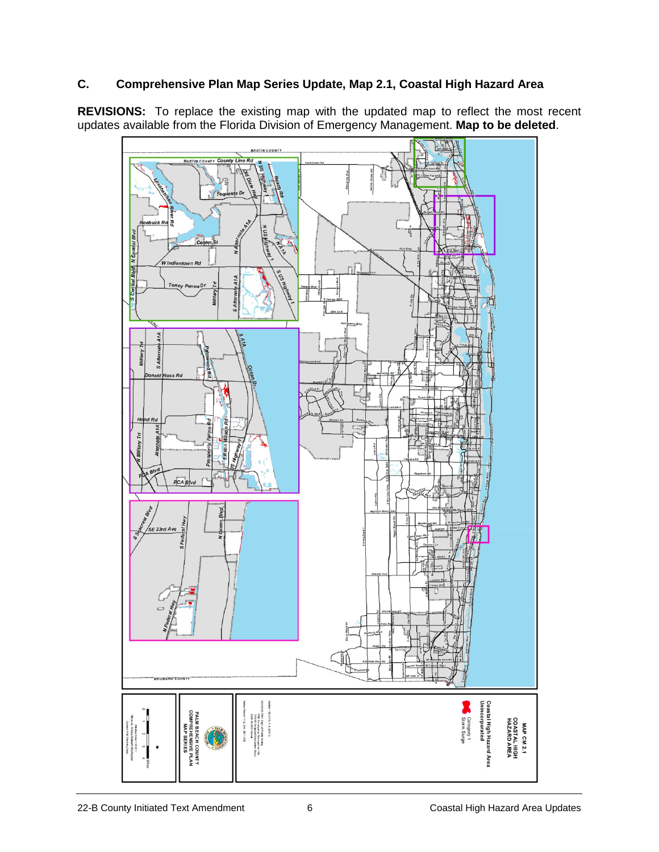#### **C. Comprehensive Plan Map Series Update, Map 2.1, Coastal High Hazard Area**

**REVISIONS:** To replace the existing map with the updated map to reflect the most recent updates available from the Florida Division of Emergency Management. **Map to be deleted**.